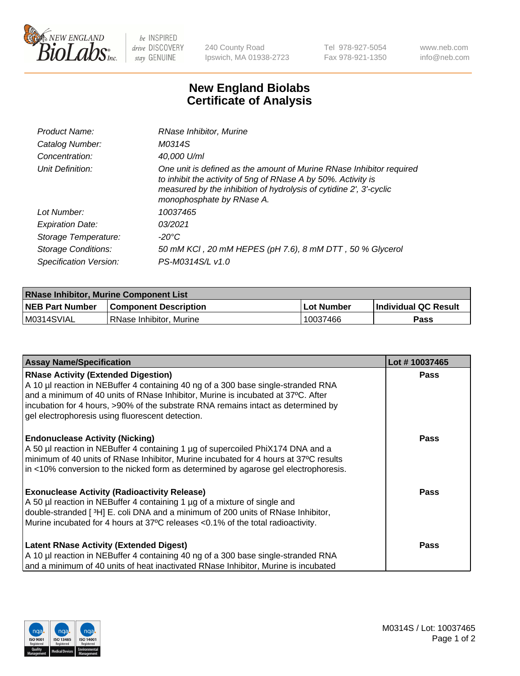

 $be$  INSPIRED drive DISCOVERY stay GENUINE

240 County Road Ipswich, MA 01938-2723 Tel 978-927-5054 Fax 978-921-1350 www.neb.com info@neb.com

## **New England Biolabs Certificate of Analysis**

| Product Name:              | RNase Inhibitor, Murine                                                                                                                                                                                                                  |
|----------------------------|------------------------------------------------------------------------------------------------------------------------------------------------------------------------------------------------------------------------------------------|
| Catalog Number:            | M0314S                                                                                                                                                                                                                                   |
| Concentration:             | 40,000 U/ml                                                                                                                                                                                                                              |
| Unit Definition:           | One unit is defined as the amount of Murine RNase Inhibitor required<br>to inhibit the activity of 5ng of RNase A by 50%. Activity is<br>measured by the inhibition of hydrolysis of cytidine 2', 3'-cyclic<br>monophosphate by RNase A. |
| Lot Number:                | 10037465                                                                                                                                                                                                                                 |
| <b>Expiration Date:</b>    | 03/2021                                                                                                                                                                                                                                  |
| Storage Temperature:       | -20°C                                                                                                                                                                                                                                    |
| <b>Storage Conditions:</b> | 50 mM KCl, 20 mM HEPES (pH 7.6), 8 mM DTT, 50 % Glycerol                                                                                                                                                                                 |
| Specification Version:     | PS-M0314S/L v1.0                                                                                                                                                                                                                         |

| <b>RNase Inhibitor, Murine Component List</b> |                              |                   |                             |  |  |
|-----------------------------------------------|------------------------------|-------------------|-----------------------------|--|--|
| <b>NEB Part Number</b>                        | <b>Component Description</b> | <b>Lot Number</b> | <b>Individual QC Result</b> |  |  |
| M0314SVIAL                                    | l RNase Inhibitor. Murine    | 10037466          | <b>Pass</b>                 |  |  |

| <b>Assay Name/Specification</b>                                                                                                                                       | Lot #10037465 |
|-----------------------------------------------------------------------------------------------------------------------------------------------------------------------|---------------|
| <b>RNase Activity (Extended Digestion)</b>                                                                                                                            | <b>Pass</b>   |
| A 10 µl reaction in NEBuffer 4 containing 40 ng of a 300 base single-stranded RNA<br>and a minimum of 40 units of RNase Inhibitor, Murine is incubated at 37°C. After |               |
| incubation for 4 hours, >90% of the substrate RNA remains intact as determined by                                                                                     |               |
| gel electrophoresis using fluorescent detection.                                                                                                                      |               |
| <b>Endonuclease Activity (Nicking)</b>                                                                                                                                | Pass          |
| A 50 µl reaction in NEBuffer 4 containing 1 µg of supercoiled PhiX174 DNA and a                                                                                       |               |
| minimum of 40 units of RNase Inhibitor, Murine incubated for 4 hours at 37°C results                                                                                  |               |
| in <10% conversion to the nicked form as determined by agarose gel electrophoresis.                                                                                   |               |
| <b>Exonuclease Activity (Radioactivity Release)</b>                                                                                                                   | <b>Pass</b>   |
| A 50 µl reaction in NEBuffer 4 containing 1 µg of a mixture of single and                                                                                             |               |
| double-stranded [3H] E. coli DNA and a minimum of 200 units of RNase Inhibitor,                                                                                       |               |
| Murine incubated for 4 hours at 37°C releases <0.1% of the total radioactivity.                                                                                       |               |
| <b>Latent RNase Activity (Extended Digest)</b>                                                                                                                        | <b>Pass</b>   |
| A 10 µl reaction in NEBuffer 4 containing 40 ng of a 300 base single-stranded RNA                                                                                     |               |
| and a minimum of 40 units of heat inactivated RNase Inhibitor, Murine is incubated                                                                                    |               |